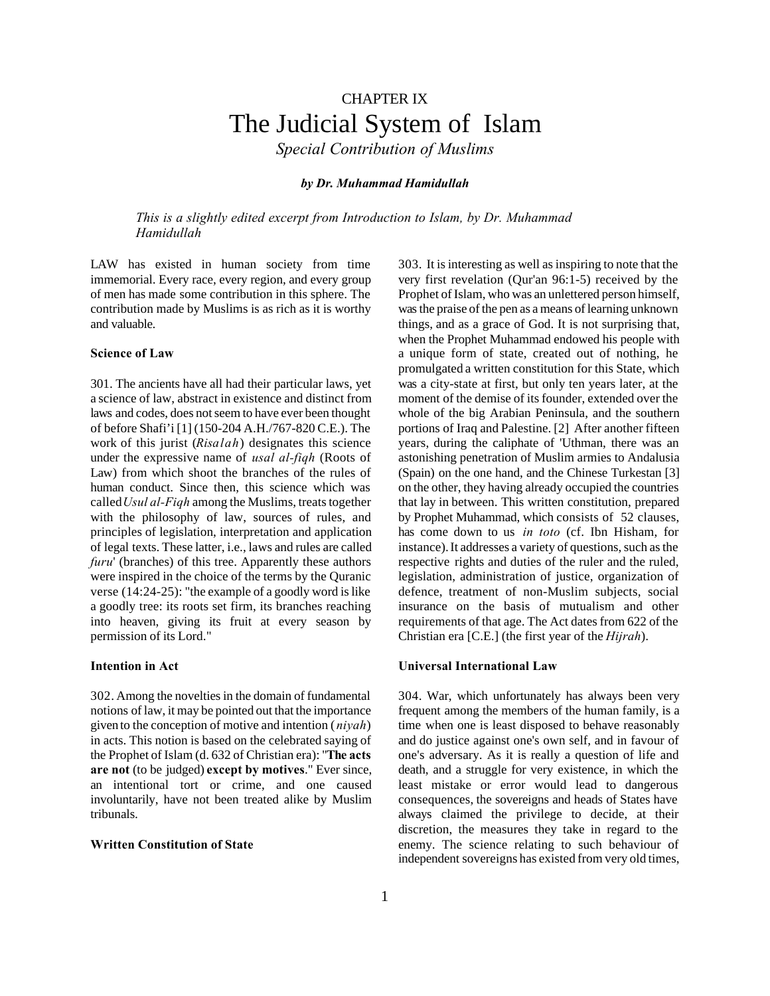# CHAPTER IX The Judicial System of Islam

*Special Contribution of Muslims*

## *by Dr. Muhammad Hamidullah*

*This is a slightly edited excerpt from Introduction to Islam, by Dr. Muhammad Hamidullah*

LAW has existed in human society from time immemorial. Every race, every region, and every group of men has made some contribution in this sphere. The contribution made by Muslims is as rich as it is worthy and valuable.

# **Science of Law**

301. The ancients have all had their particular laws, yet a science of law, abstract in existence and distinct from laws and codes, does not seem to have ever been thought of before Shafi'i [1] (150-204 A.H./767-820 C.E.). The work of this jurist (*Risalah*) designates this science under the expressive name of *usal al-fiqh* (Roots of Law) from which shoot the branches of the rules of human conduct. Since then, this science which was called*Usul al-Fiqh* among the Muslims, treats together with the philosophy of law, sources of rules, and principles of legislation, interpretation and application of legal texts. These latter, i.e., laws and rules are called *furu*' (branches) of this tree. Apparently these authors were inspired in the choice of the terms by the Quranic verse (14:24-25): "the example of a goodly word is like a goodly tree: its roots set firm, its branches reaching into heaven, giving its fruit at every season by permission of its Lord."

## **Intention in Act**

302. Among the novelties in the domain of fundamental notions of law, it may be pointed out that the importance given to the conception of motive and intention (*niyah*) in acts. This notion is based on the celebrated saying of the Prophet of Islam (d. 632 of Christian era): "**The acts are not** (to be judged) **except by motives**." Ever since, an intentional tort or crime, and one caused involuntarily, have not been treated alike by Muslim tribunals.

# **Written Constitution of State**

303. It is interesting as well as inspiring to note that the very first revelation (Qur'an 96:1-5) received by the Prophet of Islam, who was an unlettered person himself, was the praise of the pen as a means of learning unknown things, and as a grace of God. It is not surprising that, when the Prophet Muhammad endowed his people with a unique form of state, created out of nothing, he promulgated a written constitution for this State, which was a city-state at first, but only ten years later, at the moment of the demise of its founder, extended over the whole of the big Arabian Peninsula, and the southern portions of Iraq and Palestine. [2] After another fifteen years, during the caliphate of 'Uthman, there was an astonishing penetration of Muslim armies to Andalusia (Spain) on the one hand, and the Chinese Turkestan [3] on the other, they having already occupied the countries that lay in between. This written constitution, prepared by Prophet Muhammad, which consists of 52 clauses, has come down to us *in toto* (cf. Ibn Hisham, for instance). It addresses a variety of questions, such as the respective rights and duties of the ruler and the ruled, legislation, administration of justice, organization of defence, treatment of non-Muslim subjects, social insurance on the basis of mutualism and other requirements of that age. The Act dates from 622 of the Christian era [C.E.] (the first year of the *Hijrah*).

## **Universal International Law**

304. War, which unfortunately has always been very frequent among the members of the human family, is a time when one is least disposed to behave reasonably and do justice against one's own self, and in favour of one's adversary. As it is really a question of life and death, and a struggle for very existence, in which the least mistake or error would lead to dangerous consequences, the sovereigns and heads of States have always claimed the privilege to decide, at their discretion, the measures they take in regard to the enemy. The science relating to such behaviour of independent sovereigns has existed from very old times,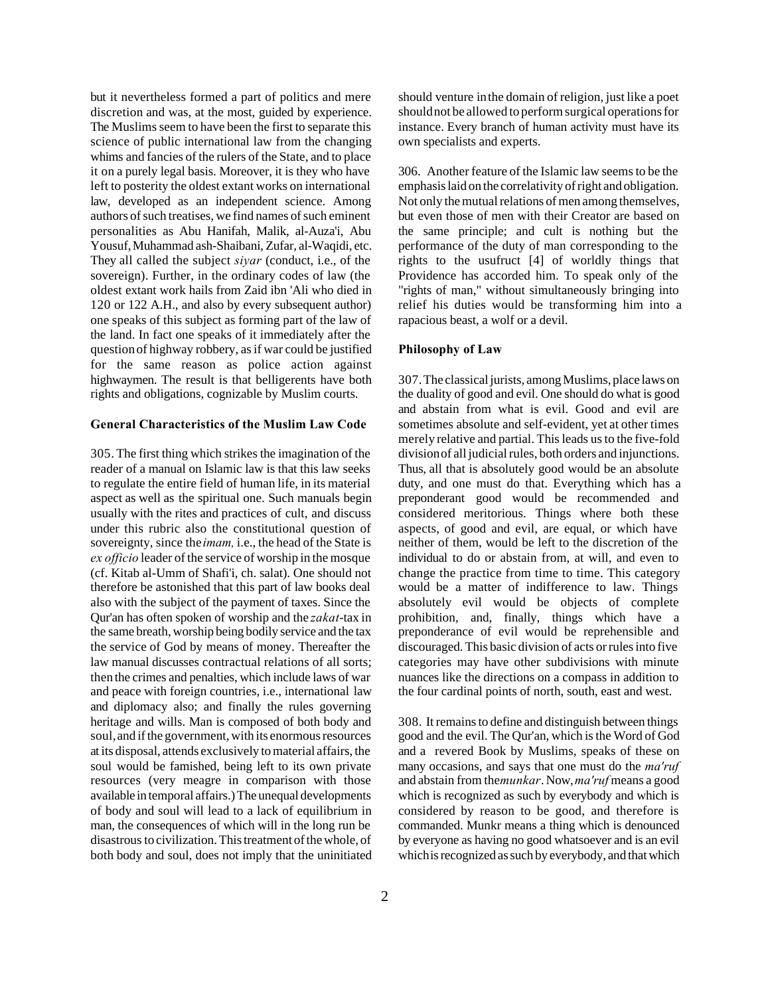but it nevertheless formed a part of politics and mere discretion and was, at the most, guided by experience. The Muslims seem to have been the first to separate this science of public international law from the changing whims and fancies of the rulers of the State, and to place it on a purely legal basis. Moreover, it is they who have left to posterity the oldest extant works on international law, developed as an independent science. Among authors of such treatises, we find names of such eminent personalities as Abu Hanifah, Malik, al-Auza'i, Abu Yousuf, Muhammad ash-Shaibani, Zufar, al-Waqidi, etc. They all called the subject *siyar* (conduct, i.e., of the sovereign). Further, in the ordinary codes of law (the oldest extant work hails from Zaid ibn 'Ali who died in 120 or 122 A.H., and also by every subsequent author) one speaks of this subject as forming part of the law of the land. In fact one speaks of it immediately after the question of highway robbery, as if war could be justified for the same reason as police action against highwaymen. The result is that belligerents have both rights and obligations, cognizable by Muslim courts.

## **General Characteristics of the Muslim Law Code**

305. The first thing which strikes the imagination of the reader of a manual on Islamic law is that this law seeks to regulate the entire field of human life, in its material aspect as well as the spiritual one. Such manuals begin usually with the rites and practices of cult, and discuss under this rubric also the constitutional question of sovereignty, since the *imam,* i.e., the head of the State is *ex officio* leader of the service of worship in the mosque (cf. Kitab al-Umm of Shafi'i, ch. salat). One should not therefore be astonished that this part of law books deal also with the subject of the payment of taxes. Since the Qur'an has often spoken of worship and the *zakat*-tax in the same breath, worship being bodily service and the tax the service of God by means of money. Thereafter the law manual discusses contractual relations of all sorts; then the crimes and penalties, which include laws of war and peace with foreign countries, i.e., international law and diplomacy also; and finally the rules governing heritage and wills. Man is composed of both body and soul, and if the government, with its enormous resources at its disposal, attends exclusively to material affairs, the soul would be famished, being left to its own private resources (very meagre in comparison with those available in temporal affairs.) The unequal developments of body and soul will lead to a lack of equilibrium in man, the consequences of which will in the long run be disastrous to civilization. This treatment of the whole, of both body and soul, does not imply that the uninitiated

should venture in the domain of religion, just like a poet should not be allowed to perform surgical operations for instance. Every branch of human activity must have its own specialists and experts.

306. Another feature of the Islamic law seems to be the emphasis laid on the correlativity of right and obligation. Not only the mutual relations of men among themselves, but even those of men with their Creator are based on the same principle; and cult is nothing but the performance of the duty of man corresponding to the rights to the usufruct [4] of worldly things that Providence has accorded him. To speak only of the "rights of man," without simultaneously bringing into relief his duties would be transforming him into a rapacious beast, a wolf or a devil.

## **Philosophy of Law**

307. The classical jurists, among Muslims, place laws on the duality of good and evil. One should do what is good and abstain from what is evil. Good and evil are sometimes absolute and self-evident, yet at other times merely relative and partial. This leads us to the five-fold division of all judicial rules, both orders and injunctions. Thus, all that is absolutely good would be an absolute duty, and one must do that. Everything which has a preponderant good would be recommended and considered meritorious. Things where both these aspects, of good and evil, are equal, or which have neither of them, would be left to the discretion of the individual to do or abstain from, at will, and even to change the practice from time to time. This category would be a matter of indifference to law. Things absolutely evil would be objects of complete prohibition, and, finally, things which have a preponderance of evil would be reprehensible and discouraged. This basic division of acts or rules into five categories may have other subdivisions with minute nuances like the directions on a compass in addition to the four cardinal points of north, south, east and west.

308. It remains to define and distinguish between things good and the evil. The Qur'an, which is the Word of God and a revered Book by Muslims, speaks of these on many occasions, and says that one must do the *ma'ruf* and abstain from the *munkar*. Now, *ma'ruf* means a good which is recognized as such by everybody and which is considered by reason to be good, and therefore is commanded. Munkr means a thing which is denounced by everyone as having no good whatsoever and is an evil which is recognized as such by everybody, and that which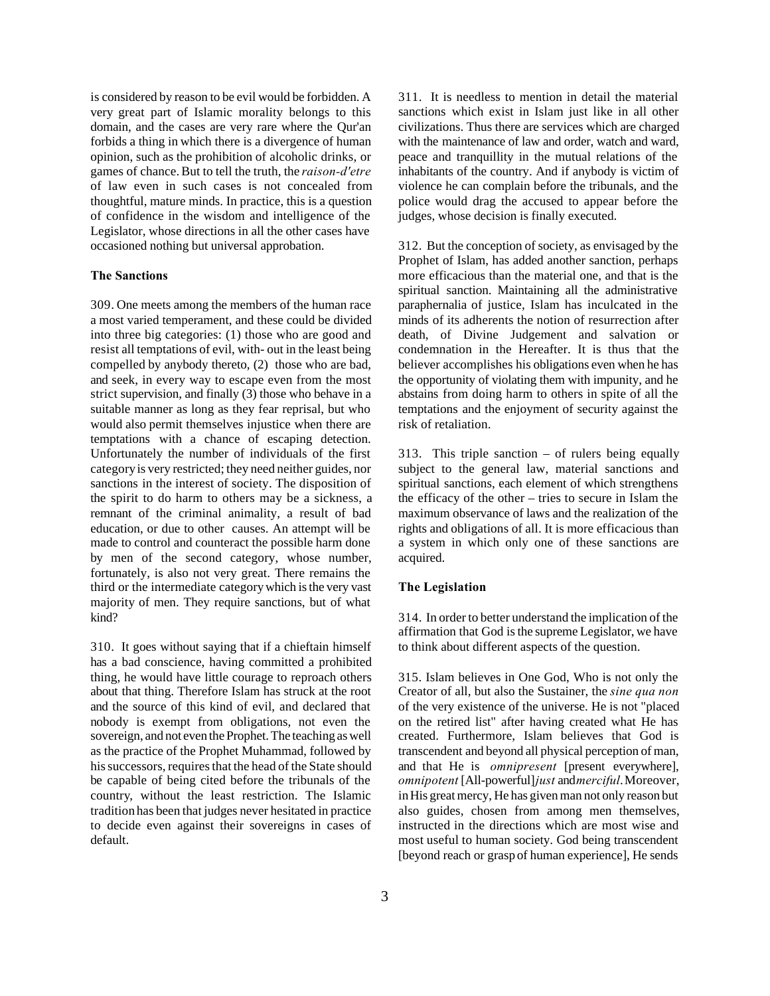is considered by reason to be evil would be forbidden. A very great part of Islamic morality belongs to this domain, and the cases are very rare where the Qur'an forbids a thing in which there is a divergence of human opinion, such as the prohibition of alcoholic drinks, or games of chance. But to tell the truth, the *raison-d'etre* of law even in such cases is not concealed from thoughtful, mature minds. In practice, this is a question of confidence in the wisdom and intelligence of the Legislator, whose directions in all the other cases have occasioned nothing but universal approbation.

# **The Sanctions**

309. One meets among the members of the human race a most varied temperament, and these could be divided into three big categories: (1) those who are good and resist all temptations of evil, with- out in the least being compelled by anybody thereto, (2) those who are bad, and seek, in every way to escape even from the most strict supervision, and finally (3) those who behave in a suitable manner as long as they fear reprisal, but who would also permit themselves injustice when there are temptations with a chance of escaping detection. Unfortunately the number of individuals of the first category is very restricted; they need neither guides, nor sanctions in the interest of society. The disposition of the spirit to do harm to others may be a sickness, a remnant of the criminal animality, a result of bad education, or due to other causes. An attempt will be made to control and counteract the possible harm done by men of the second category, whose number, fortunately, is also not very great. There remains the third or the intermediate category which is the very vast majority of men. They require sanctions, but of what kind?

310. It goes without saying that if a chieftain himself has a bad conscience, having committed a prohibited thing, he would have little courage to reproach others about that thing. Therefore Islam has struck at the root and the source of this kind of evil, and declared that nobody is exempt from obligations, not even the sovereign, and not even the Prophet. The teaching as well as the practice of the Prophet Muhammad, followed by his successors, requires that the head of the State should be capable of being cited before the tribunals of the country, without the least restriction. The Islamic tradition has been that judges never hesitated in practice to decide even against their sovereigns in cases of default.

311. It is needless to mention in detail the material sanctions which exist in Islam just like in all other civilizations. Thus there are services which are charged with the maintenance of law and order, watch and ward, peace and tranquillity in the mutual relations of the inhabitants of the country. And if anybody is victim of violence he can complain before the tribunals, and the police would drag the accused to appear before the judges, whose decision is finally executed.

312. But the conception of society, as envisaged by the Prophet of Islam, has added another sanction, perhaps more efficacious than the material one, and that is the spiritual sanction. Maintaining all the administrative paraphernalia of justice, Islam has inculcated in the minds of its adherents the notion of resurrection after death, of Divine Judgement and salvation or condemnation in the Hereafter. It is thus that the believer accomplishes his obligations even when he has the opportunity of violating them with impunity, and he abstains from doing harm to others in spite of all the temptations and the enjoyment of security against the risk of retaliation.

313. This triple sanction – of rulers being equally subject to the general law, material sanctions and spiritual sanctions, each element of which strengthens the efficacy of the other – tries to secure in Islam the maximum observance of laws and the realization of the rights and obligations of all. It is more efficacious than a system in which only one of these sanctions are acquired.

#### **The Legislation**

314. In order to better understand the implication of the affirmation that God is the supreme Legislator, we have to think about different aspects of the question.

315. Islam believes in One God, Who is not only the Creator of all, but also the Sustainer, the *sine qua non* of the very existence of the universe. He is not "placed on the retired list" after having created what He has created. Furthermore, Islam believes that God is transcendent and beyond all physical perception of man, and that He is *omnipresent* [present everywhere], *omnipotent* [All-powerful] *just* and *merciful*. Moreover, in His great mercy, He has given man not only reason but also guides, chosen from among men themselves, instructed in the directions which are most wise and most useful to human society. God being transcendent [beyond reach or grasp of human experience], He sends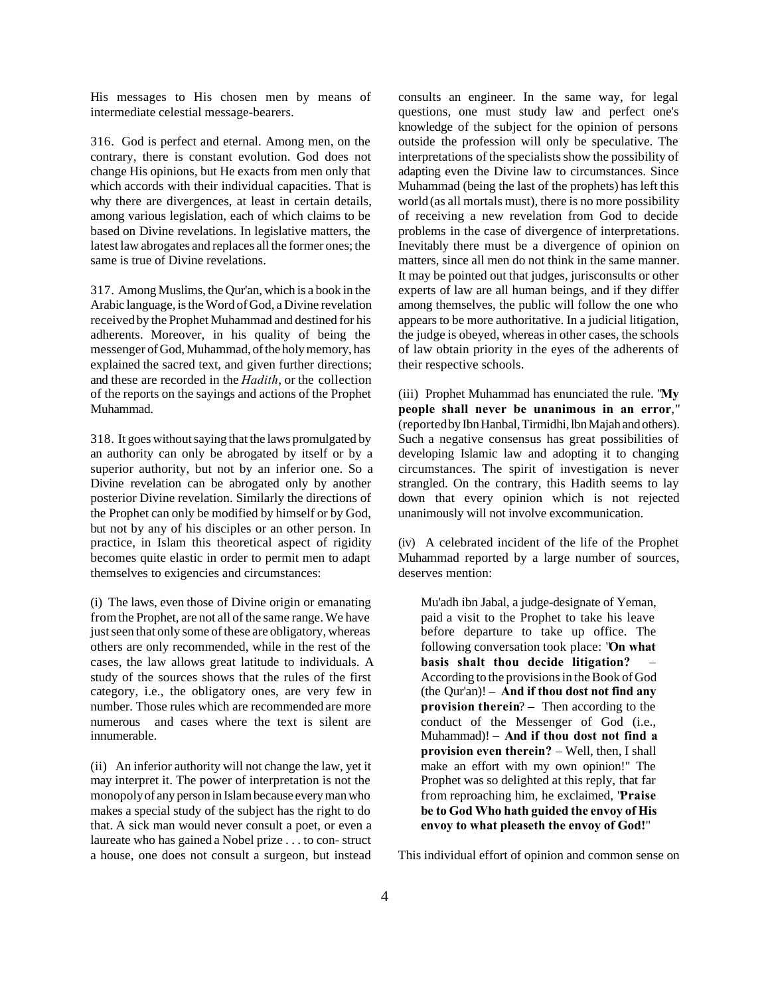His messages to His chosen men by means of intermediate celestial message-bearers.

316. God is perfect and eternal. Among men, on the contrary, there is constant evolution. God does not change His opinions, but He exacts from men only that which accords with their individual capacities. That is why there are divergences, at least in certain details, among various legislation, each of which claims to be based on Divine revelations. In legislative matters, the latest law abrogates and replaces all the former ones; the same is true of Divine revelations.

317. Among Muslims, the Qur'an, which is a book in the Arabic language, is the Word of God, a Divine revelation received by the Prophet Muhammad and destined for his adherents. Moreover, in his quality of being the messenger of God, Muhammad, of the holy memory, has explained the sacred text, and given further directions; and these are recorded in the *Hadith*, or the collection of the reports on the sayings and actions of the Prophet Muhammad.

318. It goes without saying that the laws promulgated by an authority can only be abrogated by itself or by a superior authority, but not by an inferior one. So a Divine revelation can be abrogated only by another posterior Divine revelation. Similarly the directions of the Prophet can only be modified by himself or by God, but not by any of his disciples or an other person. In practice, in Islam this theoretical aspect of rigidity becomes quite elastic in order to permit men to adapt themselves to exigencies and circumstances:

(i) The laws, even those of Divine origin or emanating from the Prophet, are not all of the same range. We have just seen that only some of these are obligatory, whereas others are only recommended, while in the rest of the cases, the law allows great latitude to individuals. A study of the sources shows that the rules of the first category, i.e., the obligatory ones, are very few in number. Those rules which are recommended are more numerous and cases where the text is silent are innumerable.

(ii) An inferior authority will not change the law, yet it may interpret it. The power of interpretation is not the monopoly of any person in Islam because every man who makes a special study of the subject has the right to do that. A sick man would never consult a poet, or even a laureate who has gained a Nobel prize . . . to con- struct a house, one does not consult a surgeon, but instead

consults an engineer. In the same way, for legal questions, one must study law and perfect one's knowledge of the subject for the opinion of persons outside the profession will only be speculative. The interpretations of the specialists show the possibility of adapting even the Divine law to circumstances. Since Muhammad (being the last of the prophets) has left this world (as all mortals must), there is no more possibility of receiving a new revelation from God to decide problems in the case of divergence of interpretations. Inevitably there must be a divergence of opinion on matters, since all men do not think in the same manner. It may be pointed out that judges, jurisconsults or other experts of law are all human beings, and if they differ among themselves, the public will follow the one who appears to be more authoritative. In a judicial litigation, the judge is obeyed, whereas in other cases, the schools of law obtain priority in the eyes of the adherents of their respective schools.

(iii) Prophet Muhammad has enunciated the rule. "**My people shall never be unanimous in an error**," (reported by Ibn Hanbal, Tirmidhi, lbn Majah and others). Such a negative consensus has great possibilities of developing Islamic law and adopting it to changing circumstances. The spirit of investigation is never strangled. On the contrary, this Hadith seems to lay down that every opinion which is not rejected unanimously will not involve excommunication.

(iv) A celebrated incident of the life of the Prophet Muhammad reported by a large number of sources, deserves mention:

Mu'adh ibn Jabal, a judge-designate of Yeman, paid a visit to the Prophet to take his leave before departure to take up office. The following conversation took place: "**On what basis shalt thou decide litigation?** – According to the provisions in the Book of God (the Qur'an)! – **And if thou dost not find any provision therein**? – Then according to the conduct of the Messenger of God (i.e., Muhammad)! – **And if thou dost not find a provision even therein?** – Well, then, I shall make an effort with my own opinion!" The Prophet was so delighted at this reply, that far from reproaching him, he exclaimed, "**Praise be to God Who hath guided the envoy of His envoy to what pleaseth the envoy of God!**"

This individual effort of opinion and common sense on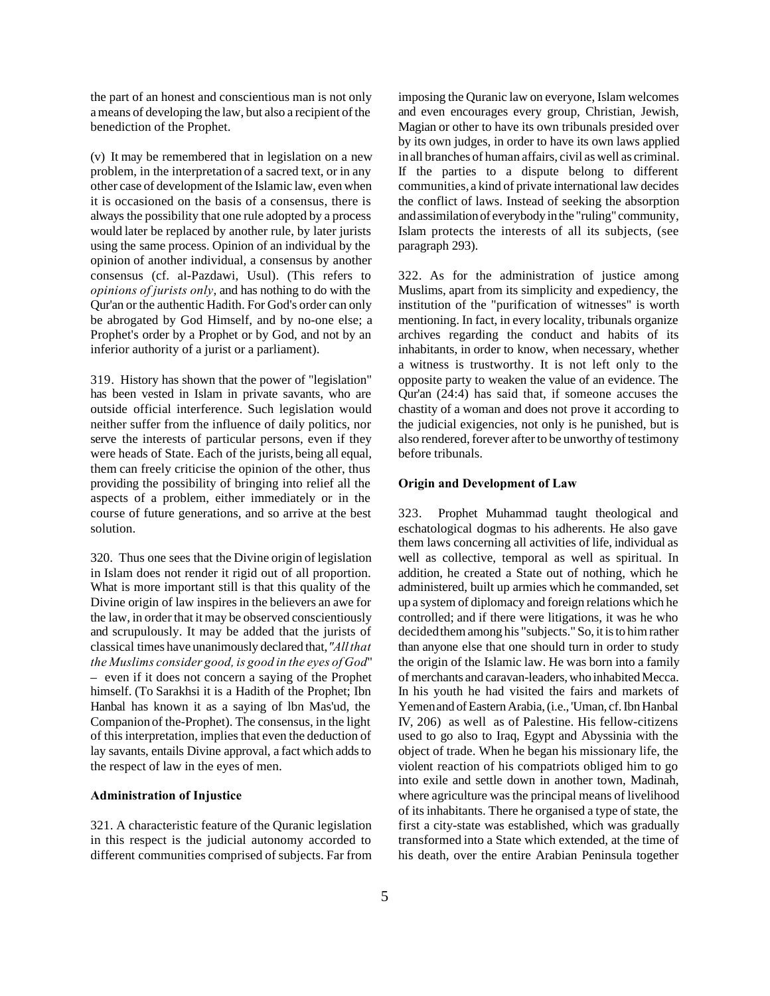the part of an honest and conscientious man is not only a means of developing the law, but also a recipient of the benediction of the Prophet.

(v) It may be remembered that in legislation on a new problem, in the interpretation of a sacred text, or in any other case of development of the Islamic law, even when it is occasioned on the basis of a consensus, there is always the possibility that one rule adopted by a process would later be replaced by another rule, by later jurists using the same process. Opinion of an individual by the opinion of another individual, a consensus by another consensus (cf. al-Pazdawi, Usul). (This refers to *opinions of jurists only*, and has nothing to do with the Qur'an or the authentic Hadith. For God's order can only be abrogated by God Himself, and by no-one else; a Prophet's order by a Prophet or by God, and not by an inferior authority of a jurist or a parliament).

319. History has shown that the power of "legislation" has been vested in Islam in private savants, who are outside official interference. Such legislation would neither suffer from the influence of daily politics, nor serve the interests of particular persons, even if they were heads of State. Each of the jurists, being all equal, them can freely criticise the opinion of the other, thus providing the possibility of bringing into relief all the aspects of a problem, either immediately or in the course of future generations, and so arrive at the best solution.

320. Thus one sees that the Divine origin of legislation in Islam does not render it rigid out of all proportion. What is more important still is that this quality of the Divine origin of law inspires in the believers an awe for the law, in order that it may be observed conscientiously and scrupulously. It may be added that the jurists of classical times have unanimously declared that, *"All that the Muslims consider good, is good in the eyes of God*" – even if it does not concern a saying of the Prophet himself. (To Sarakhsi it is a Hadith of the Prophet; Ibn Hanbal has known it as a saying of lbn Mas'ud, the Companion of the-Prophet). The consensus, in the light of this interpretation, implies that even the deduction of lay savants, entails Divine approval, a fact which adds to the respect of law in the eyes of men.

## **Administration of Injustice**

321. A characteristic feature of the Quranic legislation in this respect is the judicial autonomy accorded to different communities comprised of subjects. Far from imposing the Quranic law on everyone, Islam welcomes and even encourages every group, Christian, Jewish, Magian or other to have its own tribunals presided over by its own judges, in order to have its own laws applied in all branches of human affairs, civil as well as criminal. If the parties to a dispute belong to different communities, a kind of private international law decides the conflict of laws. Instead of seeking the absorption and assimilation of everybody in the "ruling" community, Islam protects the interests of all its subjects, (see paragraph 293).

322. As for the administration of justice among Muslims, apart from its simplicity and expediency, the institution of the "purification of witnesses" is worth mentioning. In fact, in every locality, tribunals organize archives regarding the conduct and habits of its inhabitants, in order to know, when necessary, whether a witness is trustworthy. It is not left only to the opposite party to weaken the value of an evidence. The Qur'an (24:4) has said that, if someone accuses the chastity of a woman and does not prove it according to the judicial exigencies, not only is he punished, but is also rendered, forever after to be unworthy of testimony before tribunals.

## **Origin and Development of Law**

323. Prophet Muhammad taught theological and eschatological dogmas to his adherents. He also gave them laws concerning all activities of life, individual as well as collective, temporal as well as spiritual. In addition, he created a State out of nothing, which he administered, built up armies which he commanded, set up a system of diplomacy and foreign relations which he controlled; and if there were litigations, it was he who decided them among his "subjects." So, it is to him rather than anyone else that one should turn in order to study the origin of the Islamic law. He was born into a family of merchants and caravan-leaders, who inhabited Mecca. In his youth he had visited the fairs and markets of Yemen and of Eastern Arabia, (i.e., 'Uman, cf. Ibn Hanbal IV, 206) as well as of Palestine. His fellow-citizens used to go also to Iraq, Egypt and Abyssinia with the object of trade. When he began his missionary life, the violent reaction of his compatriots obliged him to go into exile and settle down in another town, Madinah, where agriculture was the principal means of livelihood of its inhabitants. There he organised a type of state, the first a city-state was established, which was gradually transformed into a State which extended, at the time of his death, over the entire Arabian Peninsula together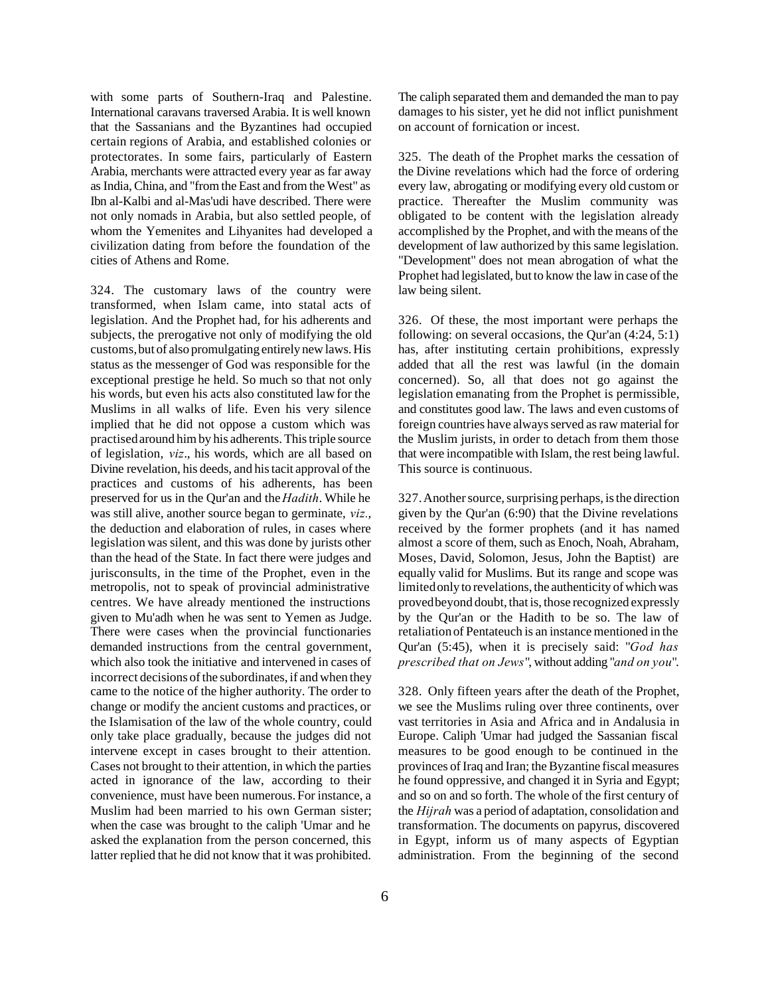with some parts of Southern-Iraq and Palestine. International caravans traversed Arabia. It is well known that the Sassanians and the Byzantines had occupied certain regions of Arabia, and established colonies or protectorates. In some fairs, particularly of Eastern Arabia, merchants were attracted every year as far away as India, China, and "from the East and from the West" as Ibn al-Kalbi and al-Mas'udi have described. There were not only nomads in Arabia, but also settled people, of whom the Yemenites and Lihyanites had developed a civilization dating from before the foundation of the cities of Athens and Rome.

324. The customary laws of the country were transformed, when Islam came, into statal acts of legislation. And the Prophet had, for his adherents and subjects, the prerogative not only of modifying the old customs, but of also promulgating entirely new laws. His status as the messenger of God was responsible for the exceptional prestige he held. So much so that not only his words, but even his acts also constituted law for the Muslims in all walks of life. Even his very silence implied that he did not oppose a custom which was practised around him by his adherents. This triple source of legislation, *viz*., his words, which are all based on Divine revelation, his deeds, and his tacit approval of the practices and customs of his adherents, has been preserved for us in the Qur'an and the *Hadith*. While he was still alive, another source began to germinate, *viz.*, the deduction and elaboration of rules, in cases where legislation was silent, and this was done by jurists other than the head of the State. In fact there were judges and jurisconsults, in the time of the Prophet, even in the metropolis, not to speak of provincial administrative centres. We have already mentioned the instructions given to Mu'adh when he was sent to Yemen as Judge. There were cases when the provincial functionaries demanded instructions from the central government, which also took the initiative and intervened in cases of incorrect decisions of the subordinates, if and when they came to the notice of the higher authority. The order to change or modify the ancient customs and practices, or the Islamisation of the law of the whole country, could only take place gradually, because the judges did not intervene except in cases brought to their attention. Cases not brought to their attention, in which the parties acted in ignorance of the law, according to their convenience, must have been numerous. For instance, a Muslim had been married to his own German sister; when the case was brought to the caliph 'Umar and he asked the explanation from the person concerned, this latter replied that he did not know that it was prohibited.

The caliph separated them and demanded the man to pay damages to his sister, yet he did not inflict punishment on account of fornication or incest.

325. The death of the Prophet marks the cessation of the Divine revelations which had the force of ordering every law, abrogating or modifying every old custom or practice. Thereafter the Muslim community was obligated to be content with the legislation already accomplished by the Prophet, and with the means of the development of law authorized by this same legislation. "Development" does not mean abrogation of what the Prophet had legislated, but to know the law in case of the law being silent.

326. Of these, the most important were perhaps the following: on several occasions, the Qur'an (4:24, 5:1) has, after instituting certain prohibitions, expressly added that all the rest was lawful (in the domain concerned). So, all that does not go against the legislation emanating from the Prophet is permissible, and constitutes good law. The laws and even customs of foreign countries have always served as raw material for the Muslim jurists, in order to detach from them those that were incompatible with Islam, the rest being lawful. This source is continuous.

327. Another source, surprising perhaps, is the direction given by the Qur'an (6:90) that the Divine revelations received by the former prophets (and it has named almost a score of them, such as Enoch, Noah, Abraham, Moses, David, Solomon, Jesus, John the Baptist) are equally valid for Muslims. But its range and scope was limited only to revelations, the authenticity of which was proved beyond doubt, that is, those recognized expressly by the Qur'an or the Hadith to be so. The law of retaliation of Pentateuch is an instance mentioned in the Qur'an (5:45), when it is precisely said: "*God has prescribed that on Jews*", without adding "*and on you*".

328. Only fifteen years after the death of the Prophet, we see the Muslims ruling over three continents, over vast territories in Asia and Africa and in Andalusia in Europe. Caliph 'Umar had judged the Sassanian fiscal measures to be good enough to be continued in the provinces of Iraq and Iran; the Byzantine fiscal measures he found oppressive, and changed it in Syria and Egypt; and so on and so forth. The whole of the first century of the *Hijrah* was a period of adaptation, consolidation and transformation. The documents on papyrus, discovered in Egypt, inform us of many aspects of Egyptian administration. From the beginning of the second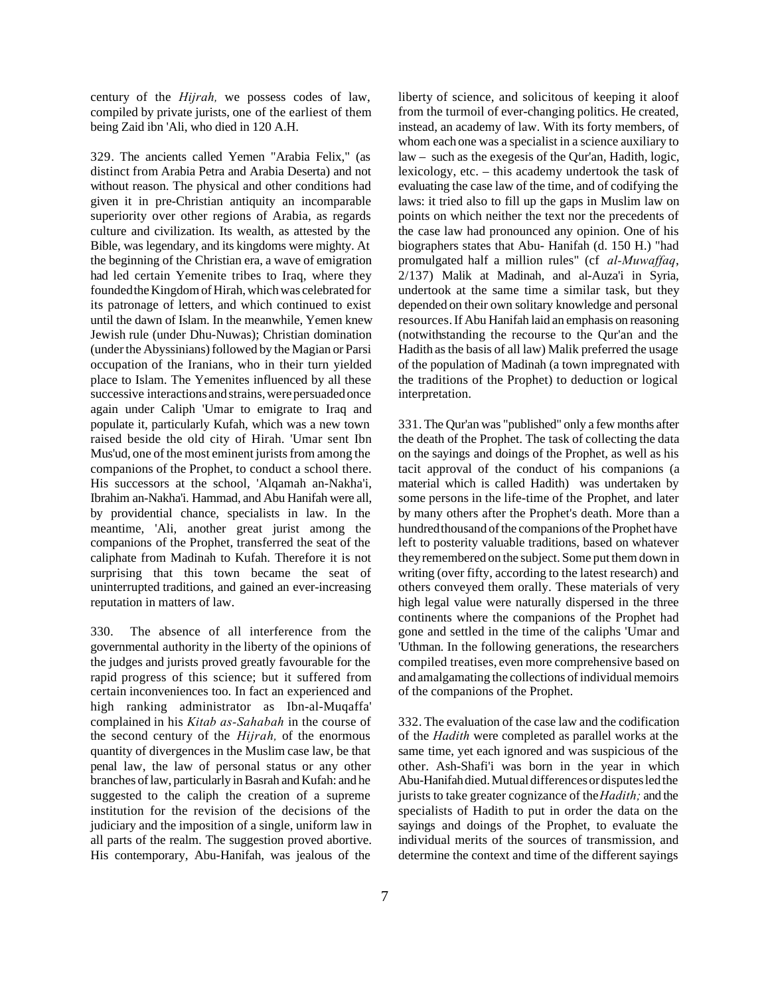century of the *Hijrah,* we possess codes of law, compiled by private jurists, one of the earliest of them being Zaid ibn 'Ali, who died in 120 A.H.

329. The ancients called Yemen "Arabia Felix," (as distinct from Arabia Petra and Arabia Deserta) and not without reason. The physical and other conditions had given it in pre-Christian antiquity an incomparable superiority over other regions of Arabia, as regards culture and civilization. Its wealth, as attested by the Bible, was legendary, and its kingdoms were mighty. At the beginning of the Christian era, a wave of emigration had led certain Yemenite tribes to Iraq, where they founded the Kingdom of Hirah, which was celebrated for its patronage of letters, and which continued to exist until the dawn of Islam. In the meanwhile, Yemen knew Jewish rule (under Dhu-Nuwas); Christian domination (under the Abyssinians) followed by the Magian or Parsi occupation of the Iranians, who in their turn yielded place to Islam. The Yemenites influenced by all these successive interactions and strains, were persuaded once again under Caliph 'Umar to emigrate to Iraq and populate it, particularly Kufah, which was a new town raised beside the old city of Hirah. 'Umar sent Ibn Mus'ud, one of the most eminent jurists from among the companions of the Prophet, to conduct a school there. His successors at the school, 'Alqamah an-Nakha'i, Ibrahim an-Nakha'i. Hammad, and Abu Hanifah were all, by providential chance, specialists in law. In the meantime, 'Ali, another great jurist among the companions of the Prophet, transferred the seat of the caliphate from Madinah to Kufah. Therefore it is not surprising that this town became the seat of uninterrupted traditions, and gained an ever-increasing reputation in matters of law.

330. The absence of all interference from the governmental authority in the liberty of the opinions of the judges and jurists proved greatly favourable for the rapid progress of this science; but it suffered from certain inconveniences too. In fact an experienced and high ranking administrator as Ibn-al-Muqaffa' complained in his *Kitab as-Sahabah* in the course of the second century of the *Hijrah,* of the enormous quantity of divergences in the Muslim case law, be that penal law, the law of personal status or any other branches of law, particularly in Basrah and Kufah: and he suggested to the caliph the creation of a supreme institution for the revision of the decisions of the judiciary and the imposition of a single, uniform law in all parts of the realm. The suggestion proved abortive. His contemporary, Abu-Hanifah, was jealous of the

liberty of science, and solicitous of keeping it aloof from the turmoil of ever-changing politics. He created, instead, an academy of law. With its forty members, of whom each one was a specialist in a science auxiliary to law – such as the exegesis of the Qur'an, Hadith, logic, lexicology, etc. – this academy undertook the task of evaluating the case law of the time, and of codifying the laws: it tried also to fill up the gaps in Muslim law on points on which neither the text nor the precedents of the case law had pronounced any opinion. One of his biographers states that Abu- Hanifah (d. 150 H.) "had promulgated half a million rules" (cf *al-Muwaffaq*, 2/137) Malik at Madinah, and al-Auza'i in Syria, undertook at the same time a similar task, but they depended on their own solitary knowledge and personal resources. If Abu Hanifah laid an emphasis on reasoning (notwithstanding the recourse to the Qur'an and the Hadith as the basis of all law) Malik preferred the usage of the population of Madinah (a town impregnated with the traditions of the Prophet) to deduction or logical interpretation.

331. The Qur'an was "published" only a few months after the death of the Prophet. The task of collecting the data on the sayings and doings of the Prophet, as well as his tacit approval of the conduct of his companions (a material which is called Hadith) was undertaken by some persons in the life-time of the Prophet, and later by many others after the Prophet's death. More than a hundred thousand of the companions of the Prophet have left to posterity valuable traditions, based on whatever they remembered on the subject. Some put them down in writing (over fifty, according to the latest research) and others conveyed them orally. These materials of very high legal value were naturally dispersed in the three continents where the companions of the Prophet had gone and settled in the time of the caliphs 'Umar and 'Uthman. In the following generations, the researchers compiled treatises, even more comprehensive based on and amalgamating the collections of individual memoirs of the companions of the Prophet.

332. The evaluation of the case law and the codification of the *Hadith* were completed as parallel works at the same time, yet each ignored and was suspicious of the other. Ash-Shafi'i was born in the year in which Abu-Hanifah died. Mutual differences or disputes led the jurists to take greater cognizance of the *Hadith;* and the specialists of Hadith to put in order the data on the sayings and doings of the Prophet, to evaluate the individual merits of the sources of transmission, and determine the context and time of the different sayings